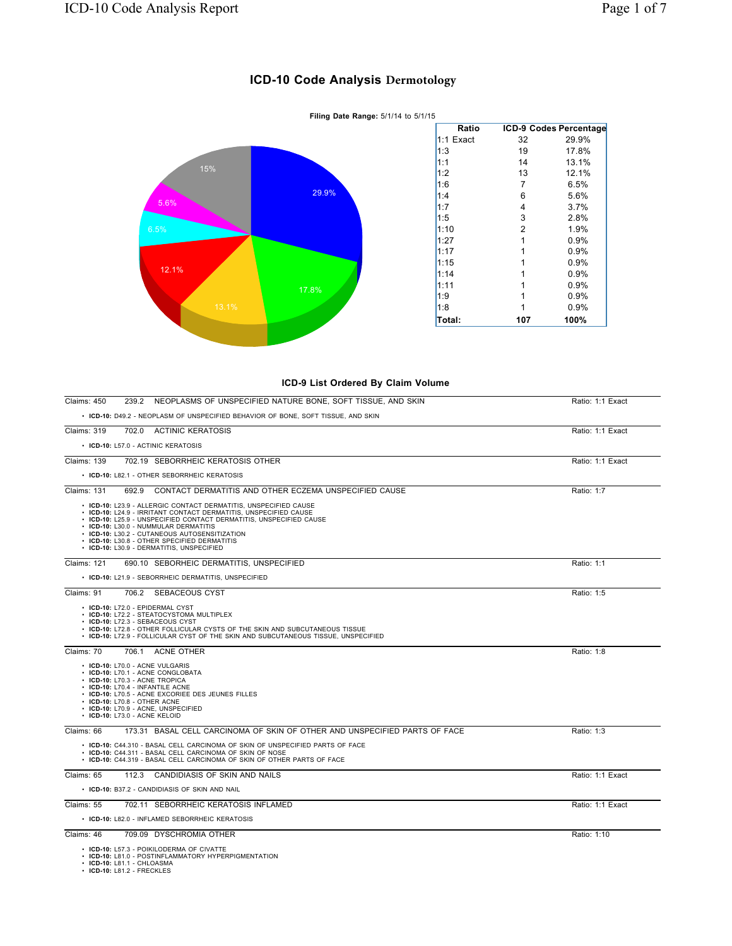## **ICD-10 Code Analysis Dermotology**



## **ICD-9 List Ordered By Claim Volume**

| NEOPLASMS OF UNSPECIFIED NATURE BONE, SOFT TISSUE, AND SKIN<br>Claims: 450<br>239.2                                                                                                                                                                                                                                                                                                                | Ratio: 1:1 Exact |
|----------------------------------------------------------------------------------------------------------------------------------------------------------------------------------------------------------------------------------------------------------------------------------------------------------------------------------------------------------------------------------------------------|------------------|
| • ICD-10: D49.2 - NEOPLASM OF UNSPECIFIED BEHAVIOR OF BONE, SOFT TISSUE, AND SKIN                                                                                                                                                                                                                                                                                                                  |                  |
| <b>Claims: 319</b><br>702.0 ACTINIC KERATOSIS                                                                                                                                                                                                                                                                                                                                                      | Ratio: 1:1 Exact |
| • ICD-10: L57.0 - ACTINIC KERATOSIS                                                                                                                                                                                                                                                                                                                                                                |                  |
| 702.19 SEBORRHEIC KERATOSIS OTHER<br><b>Claims: 139</b>                                                                                                                                                                                                                                                                                                                                            | Ratio: 1:1 Exact |
| • ICD-10: L82.1 - OTHER SEBORRHEIC KERATOSIS                                                                                                                                                                                                                                                                                                                                                       |                  |
| CONTACT DERMATITIS AND OTHER ECZEMA UNSPECIFIED CAUSE<br><b>Claims: 131</b><br>692.9                                                                                                                                                                                                                                                                                                               | Ratio: 1:7       |
| • ICD-10: L23.9 - ALLERGIC CONTACT DERMATITIS, UNSPECIFIED CAUSE<br>• ICD-10: L24.9 - IRRITANT CONTACT DERMATITIS, UNSPECIFIED CAUSE<br>• ICD-10: L25.9 - UNSPECIFIED CONTACT DERMATITIS, UNSPECIFIED CAUSE<br>• ICD-10: L30.0 - NUMMULAR DERMATITIS<br>• ICD-10: L30.2 - CUTANEOUS AUTOSENSITIZATION<br>• ICD-10: L30.8 - OTHER SPECIFIED DERMATITIS<br>• ICD-10: L30.9 - DERMATITIS, UNSPECIFIED |                  |
| Claims: 121<br>690.10 SEBORHEIC DERMATITIS, UNSPECIFIED                                                                                                                                                                                                                                                                                                                                            | Ratio: 1:1       |
| • ICD-10: L21.9 - SEBORRHEIC DERMATITIS, UNSPECIFIED                                                                                                                                                                                                                                                                                                                                               |                  |
| Claims: 91<br>706.2 SEBACEOUS CYST                                                                                                                                                                                                                                                                                                                                                                 | Ratio: 1:5       |
| • ICD-10: L72.0 - EPIDERMAL CYST<br>• ICD-10: L72.2 - STEATOCYSTOMA MULTIPLEX<br>• ICD-10: L72.3 - SEBACEOUS CYST<br>• ICD-10: L72.8 - OTHER FOLLICULAR CYSTS OF THE SKIN AND SUBCUTANEOUS TISSUE<br>• ICD-10: L72.9 - FOLLICULAR CYST OF THE SKIN AND SUBCUTANEOUS TISSUE, UNSPECIFIED                                                                                                            |                  |
| Claims: 70<br>706.1 ACNE OTHER                                                                                                                                                                                                                                                                                                                                                                     | Ratio: 1:8       |
| • ICD-10: L70.0 - ACNE VULGARIS<br>• ICD-10: L70.1 - ACNE CONGLOBATA<br>• ICD-10: L70.3 - ACNE TROPICA<br>• ICD-10: L70.4 - INFANTILE ACNE<br>• ICD-10: L70.5 - ACNE EXCORIEE DES JEUNES FILLES<br>• ICD-10: L70.8 - OTHER ACNE<br>• ICD-10: L70.9 - ACNE, UNSPECIFIED<br>• ICD-10: L73.0 - ACNE KELOID                                                                                            |                  |
| Claims: 66<br>173.31 BASAL CELL CARCINOMA OF SKIN OF OTHER AND UNSPECIFIED PARTS OF FACE                                                                                                                                                                                                                                                                                                           | Ratio: 1:3       |
| • ICD-10: C44.310 - BASAL CELL CARCINOMA OF SKIN OF UNSPECIFIED PARTS OF FACE<br>• ICD-10: C44.311 - BASAL CELL CARCINOMA OF SKIN OF NOSE<br>• ICD-10: C44.319 - BASAL CELL CARCINOMA OF SKIN OF OTHER PARTS OF FACE                                                                                                                                                                               |                  |
| Claims: 65<br>112.3 CANDIDIASIS OF SKIN AND NAILS                                                                                                                                                                                                                                                                                                                                                  | Ratio: 1:1 Exact |
| • ICD-10: B37.2 - CANDIDIASIS OF SKIN AND NAIL                                                                                                                                                                                                                                                                                                                                                     |                  |
| 702.11 SEBORRHEIC KERATOSIS INFLAMED<br>Claims: 55                                                                                                                                                                                                                                                                                                                                                 | Ratio: 1:1 Exact |
| • ICD-10: L82.0 - INFLAMED SEBORRHEIC KERATOSIS                                                                                                                                                                                                                                                                                                                                                    |                  |
| Claims: 46<br>709.09 DYSCHROMIA OTHER                                                                                                                                                                                                                                                                                                                                                              | Ratio: 1:10      |
| • ICD-10: L57.3 - POIKILODERMA OF CIVATTE<br>• ICD-10: L81.0 - POSTINFLAMMATORY HYPERPIGMENTATION<br>$\cdot$ ICD-10: L81.1 - CHLOASMA                                                                                                                                                                                                                                                              |                  |

• **ICD-10:** L81.1 - CHLOASMA • **ICD-10:** L81.2 - FRECKLES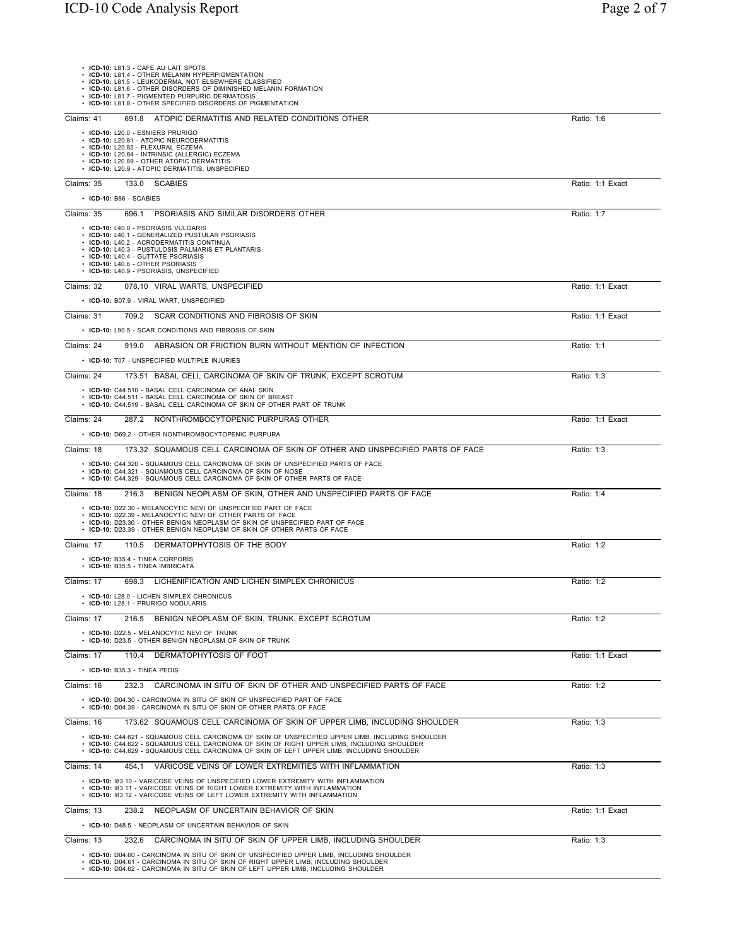| • ICD-10: L81.3 - CAFE AU LAIT SPOTS<br>• ICD-10: L81.4 - OTHER MELANIN HYPERPIGMENTATION<br>ICD-10: L81.5 - LEUKODERMA, NOT ELSEWHERE CLASSIFIED<br>ICD-10: L81.6 - OTHER DISORDERS OF DIMINISHED MELANIN FORMATION<br>• ICD-10: L81.7 - PIGMENTED PURPURIC DERMATOSIS<br>• ICD-10: L81.8 - OTHER SPECIFIED DISORDERS OF PIGMENTATION |                  |
|----------------------------------------------------------------------------------------------------------------------------------------------------------------------------------------------------------------------------------------------------------------------------------------------------------------------------------------|------------------|
| 691.8 ATOPIC DERMATITIS AND RELATED CONDITIONS OTHER<br>Claims: 41                                                                                                                                                                                                                                                                     | Ratio: 1:6       |
| · ICD-10: L20.0 - ESNIERS PRURIGO<br>• ICD-10: L20.81 - ATOPIC NEURODERMATITIS<br>· ICD-10: L20.82 - FLEXURAL ECZEMA<br>• ICD-10: L20.84 - INTRINSIC (ALLERGIC) ECZEMA<br>ICD-10: L20.89 - OTHER ATOPIC DERMATITIS<br>ICD-10: L20.9 - ATOPIC DERMATITIS, UNSPECIFIED                                                                   |                  |
| Claims: 35<br>133.0 SCABIES                                                                                                                                                                                                                                                                                                            | Ratio: 1:1 Exact |
| $\cdot$ ICD-10: B86 - SCABIES                                                                                                                                                                                                                                                                                                          |                  |
| PSORIASIS AND SIMILAR DISORDERS OTHER<br>Claims: 35<br>696.1                                                                                                                                                                                                                                                                           | Ratio: 1:7       |
| • ICD-10: L40.0 - PSORIASIS VULGARIS<br>• ICD-10: L40.1 - GENERALIZED PUSTULAR PSORIASIS<br>• ICD-10: L40.2 - ACRODERMATITIS CONTINUA<br>• ICD-10: L40.3 - PUSTULOSIS PALMARIS ET PLANTARIS<br>• ICD-10: L40.4 - GUTTATE PSORIASIS<br>• ICD-10: L40.8 - OTHER PSORIASIS<br>· ICD-10: L40.9 - PSORIASIS, UNSPECIFIED                    |                  |
| 078.10 VIRAL WARTS, UNSPECIFIED<br>Claims: 32                                                                                                                                                                                                                                                                                          | Ratio: 1:1 Exact |
| • ICD-10: B07.9 - VIRAL WART, UNSPECIFIED                                                                                                                                                                                                                                                                                              |                  |
| Claims: 31<br>709.2 SCAR CONDITIONS AND FIBROSIS OF SKIN                                                                                                                                                                                                                                                                               | Ratio: 1:1 Exact |
| • ICD-10: L90.5 - SCAR CONDITIONS AND FIBROSIS OF SKIN                                                                                                                                                                                                                                                                                 |                  |
| 919.0 ABRASION OR FRICTION BURN WITHOUT MENTION OF INFECTION<br>Claims: 24                                                                                                                                                                                                                                                             | Ratio: 1:1       |
| • ICD-10: T07 - UNSPECIFIED MULTIPLE INJURIES<br>Claims: 24<br>173.51 BASAL CELL CARCINOMA OF SKIN OF TRUNK, EXCEPT SCROTUM                                                                                                                                                                                                            | Ratio: 1:3       |
| • ICD-10: C44.510 - BASAL CELL CARCINOMA OF ANAL SKIN                                                                                                                                                                                                                                                                                  |                  |
| • ICD-10: C44.511 - BASAL CELL CARCINOMA OF SKIN OF BREAST<br>• ICD-10: C44.519 - BASAL CELL CARCINOMA OF SKIN OF OTHER PART OF TRUNK                                                                                                                                                                                                  |                  |
| Claims: 24<br>287.2 NONTHROMBOCYTOPENIC PURPURAS OTHER                                                                                                                                                                                                                                                                                 | Ratio: 1:1 Exact |
| • ICD-10: D69.2 - OTHER NONTHROMBOCYTOPENIC PURPURA                                                                                                                                                                                                                                                                                    |                  |
| Claims: 18<br>173.32 SQUAMOUS CELL CARCINOMA OF SKIN OF OTHER AND UNSPECIFIED PARTS OF FACE                                                                                                                                                                                                                                            | Ratio: 1:3       |
| • ICD-10: C44.320 - SQUAMOUS CELL CARCINOMA OF SKIN OF UNSPECIFIED PARTS OF FACE<br>• ICD-10: C44.321 - SQUAMOUS CELL CARCINOMA OF SKIN OF NOSE<br>• ICD-10: C44.329 - SQUAMOUS CELL CARCINOMA OF SKIN OF OTHER PARTS OF FACE                                                                                                          |                  |
| Claims: 18<br>BENIGN NEOPLASM OF SKIN, OTHER AND UNSPECIFIED PARTS OF FACE<br>216.3                                                                                                                                                                                                                                                    | Ratio: 1:4       |
| • ICD-10: D22.30 - MELANOCYTIC NEVI OF UNSPECIFIED PART OF FACE<br>• ICD-10: D22.39 - MELANOCYTIC NEVI OF OTHER PARTS OF FACE<br>• ICD-10: D23.30 - OTHER BENIGN NEOPLASM OF SKIN OF UNSPECIFIED PART OF FACE<br>• ICD-10: D23.39 - OTHER BENIGN NEOPLASM OF SKIN OF OTHER PARTS OF FACE                                               |                  |
| 110.5 DERMATOPHYTOSIS OF THE BODY<br>Claims: 17                                                                                                                                                                                                                                                                                        | Ratio: 1:2       |
| • ICD-10: B35.4 - TINEA CORPORIS<br>• ICD-10: B35.5 - TINEA IMBRICATA                                                                                                                                                                                                                                                                  |                  |
| Claims: 17<br>698.3 LICHENIFICATION AND LICHEN SIMPLEX CHRONICUS                                                                                                                                                                                                                                                                       | Ratio: 1:2       |
| • ICD-10: L28.0 - LICHEN SIMPLEX CHRONICUS<br>• ICD-10: L28.1 - PRURIGO NODULARIS                                                                                                                                                                                                                                                      |                  |
| Claims: 17<br>BENIGN NEOPLASM OF SKIN, TRUNK, EXCEPT SCROTUM<br>216.5                                                                                                                                                                                                                                                                  | Ratio: 1:2       |
| • ICD-10: D22.5 - MELANOCYTIC NEVI OF TRUNK<br>• ICD-10: D23.5 - OTHER BENIGN NEOPLASM OF SKIN OF TRUNK                                                                                                                                                                                                                                |                  |
| DERMATOPHYTOSIS OF FOOT<br>Claims: 17<br>110.4                                                                                                                                                                                                                                                                                         | Ratio: 1:1 Exact |
| $\cdot$ ICD-10: B35.3 - TINEA PEDIS                                                                                                                                                                                                                                                                                                    |                  |
| Claims: 16<br>CARCINOMA IN SITU OF SKIN OF OTHER AND UNSPECIFIED PARTS OF FACE<br>232.3                                                                                                                                                                                                                                                | Ratio: 1:2       |
| • ICD-10: D04.30 - CARCINOMA IN SITU OF SKIN OF UNSPECIFIED PART OF FACE<br>• ICD-10: D04.39 - CARCINOMA IN SITU OF SKIN OF OTHER PARTS OF FACE                                                                                                                                                                                        |                  |
| Claims: 16<br>173.62 SQUAMOUS CELL CARCINOMA OF SKIN OF UPPER LIMB, INCLUDING SHOULDER                                                                                                                                                                                                                                                 | Ratio: 1:3       |
| • ICD-10: C44.621 - SQUAMOUS CELL CARCINOMA OF SKIN OF UNSPECIFIED UPPER LIMB, INCLUDING SHOULDER<br>• ICD-10: C44.622 - SQUAMOUS CELL CARCINOMA OF SKIN OF RIGHT UPPER LIMB, INCLUDING SHOULDER<br>• ICD-10: C44.629 - SQUAMOUS CELL CARCINOMA OF SKIN OF LEFT UPPER LIMB, INCLUDING SHOULDER                                         |                  |
| VARICOSE VEINS OF LOWER EXTREMITIES WITH INFLAMMATION<br>Claims: 14<br>454.1                                                                                                                                                                                                                                                           | Ratio: 1:3       |
| • ICD-10: 183.10 - VARICOSE VEINS OF UNSPECIFIED LOWER EXTREMITY WITH INFLAMMATION<br>• ICD-10: 183.11 - VARICOSE VEINS OF RIGHT LOWER EXTREMITY WITH INFLAMMATION<br>• ICD-10: 183.12 - VARICOSE VEINS OF LEFT LOWER EXTREMITY WITH INFLAMMATION                                                                                      |                  |
| Claims: 13<br>238.2 NEOPLASM OF UNCERTAIN BEHAVIOR OF SKIN                                                                                                                                                                                                                                                                             | Ratio: 1:1 Exact |
| • ICD-10: D48.5 - NEOPLASM OF UNCERTAIN BEHAVIOR OF SKIN                                                                                                                                                                                                                                                                               |                  |
| Claims: 13<br>232.6 CARCINOMA IN SITU OF SKIN OF UPPER LIMB, INCLUDING SHOULDER                                                                                                                                                                                                                                                        | Ratio: 1:3       |
| • ICD-10: D04.60 - CARCINOMA IN SITU OF SKIN OF UNSPECIFIED UPPER LIMB, INCLUDING SHOULDER<br>. ICD-10: D04.61 - CARCINOMA IN SITU OF SKIN OF RIGHT UPPER LIMB, INCLUDING SHOULDER<br>• ICD-10: D04.62 - CARCINOMA IN SITU OF SKIN OF LEFT UPPER LIMB, INCLUDING SHOULDER                                                              |                  |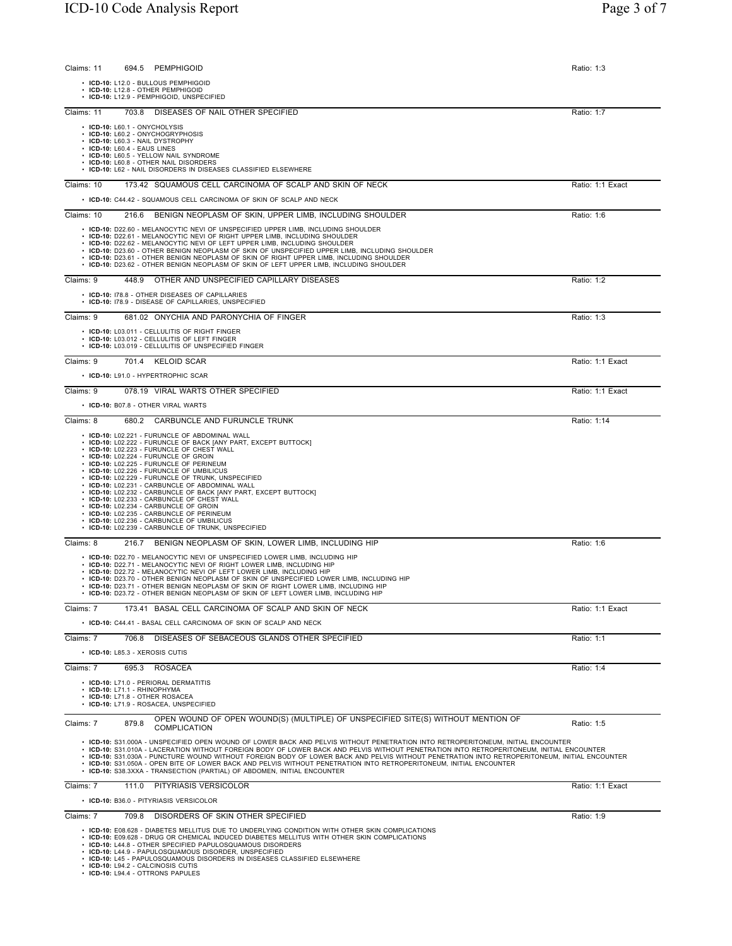| Claims: 11 | 694.5 PEMPHIGOID                                                                                                                                                                                                                                                                                                                                                                                                                                                                                                                                                                                                                                                        | Ratio: 1:3       |
|------------|-------------------------------------------------------------------------------------------------------------------------------------------------------------------------------------------------------------------------------------------------------------------------------------------------------------------------------------------------------------------------------------------------------------------------------------------------------------------------------------------------------------------------------------------------------------------------------------------------------------------------------------------------------------------------|------------------|
|            | • ICD-10: L12.0 - BULLOUS PEMPHIGOID<br>• ICD-10: L12.8 - OTHER PEMPHIGOID<br>• ICD-10: L12.9 - PEMPHIGOID, UNSPECIFIED                                                                                                                                                                                                                                                                                                                                                                                                                                                                                                                                                 |                  |
| Claims: 11 | 703.8 DISEASES OF NAIL OTHER SPECIFIED                                                                                                                                                                                                                                                                                                                                                                                                                                                                                                                                                                                                                                  | Ratio: 1:7       |
|            | • ICD-10: L60.1 - ONYCHOLYSIS<br>• ICD-10: L60.2 - ONYCHOGRYPHOSIS<br>• ICD-10: L60.3 - NAIL DYSTROPHY<br>• ICD-10: L60.4 - EAUS LINES<br>• ICD-10: L60.5 - YELLOW NAIL SYNDROME<br>• ICD-10: L60.8 - OTHER NAIL DISORDERS<br>• ICD-10: L62 - NAIL DISORDERS IN DISEASES CLASSIFIED ELSEWHERE                                                                                                                                                                                                                                                                                                                                                                           |                  |
| Claims: 10 | 173.42 SQUAMOUS CELL CARCINOMA OF SCALP AND SKIN OF NECK                                                                                                                                                                                                                                                                                                                                                                                                                                                                                                                                                                                                                | Ratio: 1:1 Exact |
|            | • ICD-10: C44.42 - SQUAMOUS CELL CARCINOMA OF SKIN OF SCALP AND NECK                                                                                                                                                                                                                                                                                                                                                                                                                                                                                                                                                                                                    |                  |
| Claims: 10 | 216.6 BENIGN NEOPLASM OF SKIN, UPPER LIMB, INCLUDING SHOULDER                                                                                                                                                                                                                                                                                                                                                                                                                                                                                                                                                                                                           | Ratio: 1:6       |
|            | • ICD-10: D22.60 - MELANOCYTIC NEVI OF UNSPECIFIED UPPER LIMB, INCLUDING SHOULDER<br>• ICD-10: D22.61 - MELANOCYTIC NEVI OF RIGHT UPPER LIMB, INCLUDING SHOULDER<br>• ICD-10: D22.62 - MELANOCYTIC NEVI OF LEFT UPPER LIMB, INCLUDING SHOULDER<br>• ICD-10: D23.60 - OTHER BENIGN NEOPLASM OF SKIN OF UNSPECIFIED UPPER LIMB, INCLUDING SHOULDER<br>. ICD-10: D23.61 - OTHER BENIGN NEOPLASM OF SKIN OF RIGHT UPPER LIMB, INCLUDING SHOULDER<br>• ICD-10: D23.62 - OTHER BENIGN NEOPLASM OF SKIN OF LEFT UPPER LIMB, INCLUDING SHOULDER                                                                                                                                 |                  |
| Claims: 9  | 448.9 OTHER AND UNSPECIFIED CAPILLARY DISEASES                                                                                                                                                                                                                                                                                                                                                                                                                                                                                                                                                                                                                          | Ratio: 1:2       |
|            | • ICD-10: 178.8 - OTHER DISEASES OF CAPILLARIES<br>• ICD-10: 178.9 - DISEASE OF CAPILLARIES, UNSPECIFIED                                                                                                                                                                                                                                                                                                                                                                                                                                                                                                                                                                |                  |
| Claims: 9  | 681.02 ONYCHIA AND PARONYCHIA OF FINGER                                                                                                                                                                                                                                                                                                                                                                                                                                                                                                                                                                                                                                 | Ratio: 1:3       |
|            | • ICD-10: L03.011 - CELLULITIS OF RIGHT FINGER<br>• ICD-10: L03.012 - CELLULITIS OF LEFT FINGER<br>• ICD-10: L03.019 - CELLULITIS OF UNSPECIFIED FINGER                                                                                                                                                                                                                                                                                                                                                                                                                                                                                                                 |                  |
| Claims: 9  | 701.4 KELOID SCAR                                                                                                                                                                                                                                                                                                                                                                                                                                                                                                                                                                                                                                                       | Ratio: 1:1 Exact |
|            | • ICD-10: L91.0 - HYPERTROPHIC SCAR                                                                                                                                                                                                                                                                                                                                                                                                                                                                                                                                                                                                                                     |                  |
| Claims: 9  | 078.19 VIRAL WARTS OTHER SPECIFIED                                                                                                                                                                                                                                                                                                                                                                                                                                                                                                                                                                                                                                      | Ratio: 1:1 Exact |
|            | • ICD-10: B07.8 - OTHER VIRAL WARTS                                                                                                                                                                                                                                                                                                                                                                                                                                                                                                                                                                                                                                     |                  |
| Claims: 8  | CARBUNCLE AND FURUNCLE TRUNK<br>680.2<br>• ICD-10: L02.221 - FURUNCLE OF ABDOMINAL WALL                                                                                                                                                                                                                                                                                                                                                                                                                                                                                                                                                                                 | Ratio: 1:14      |
|            | • ICD-10: L02.222 - FURUNCLE OF BACK [ANY PART, EXCEPT BUTTOCK]<br>• ICD-10: L02.223 - FURUNCLE OF CHEST WALL<br>• ICD-10: L02.224 - FURUNCLE OF GROIN<br>• ICD-10: L02.225 - FURUNCLE OF PERINEUM<br>• ICD-10: L02.226 - FURUNCLE OF UMBILICUS<br>• ICD-10: L02.229 - FURUNCLE OF TRUNK, UNSPECIFIED<br>• ICD-10: L02.231 - CARBUNCLE OF ABDOMINAL WALL<br>• ICD-10: L02.232 - CARBUNCLE OF BACK [ANY PART, EXCEPT BUTTOCK]<br>• ICD-10: L02.233 - CARBUNCLE OF CHEST WALL<br>• ICD-10: L02.234 - CARBUNCLE OF GROIN<br>• ICD-10: L02.235 - CARBUNCLE OF PERINEUM<br>• ICD-10: L02.236 - CARBUNCLE OF UMBILICUS<br>• ICD-10: L02.239 - CARBUNCLE OF TRUNK, UNSPECIFIED |                  |
| Claims: 8  | 216.7 BENIGN NEOPLASM OF SKIN, LOWER LIMB, INCLUDING HIP                                                                                                                                                                                                                                                                                                                                                                                                                                                                                                                                                                                                                | Ratio: 1:6       |
|            | • ICD-10: D22.70 - MELANOCYTIC NEVI OF UNSPECIFIED LOWER LIMB, INCLUDING HIP<br>• ICD-10: D22.71 - MELANOCYTIC NEVI OF RIGHT LOWER LIMB. INCLUDING HIP<br>· ICD-10: D22.72 - MELANOCYTIC NEVI OF LEFT LOWER LIMB, INCLUDING HIP<br>. ICD-10: D23.70 - OTHER BENIGN NEOPLASM OF SKIN OF UNSPECIFIED LOWER LIMB, INCLUDING HIP<br>. ICD-10: D23.71 - OTHER BENIGN NEOPLASM OF SKIN OF RIGHT LOWER LIMB, INCLUDING HIP<br>ICD-10: D23 72 - OTHER BENIGN NEOPLASM OF SKIN OF LEFT LOWER LIMB. INCLUDING HIP                                                                                                                                                                 |                  |
| Claims: 7  | 173.41 BASAL CELL CARCINOMA OF SCALP AND SKIN OF NECK                                                                                                                                                                                                                                                                                                                                                                                                                                                                                                                                                                                                                   | Ratio: 1:1 Exact |
|            | • ICD-10: C44.41 - BASAL CELL CARCINOMA OF SKIN OF SCALP AND NECK                                                                                                                                                                                                                                                                                                                                                                                                                                                                                                                                                                                                       |                  |
| Claims: 7  | DISEASES OF SEBACEOUS GLANDS OTHER SPECIFIED<br>706.8                                                                                                                                                                                                                                                                                                                                                                                                                                                                                                                                                                                                                   | Ratio: 1:1       |
|            | • ICD-10: L85.3 - XEROSIS CUTIS                                                                                                                                                                                                                                                                                                                                                                                                                                                                                                                                                                                                                                         |                  |
| Claims: 7  | 695.3 ROSACEA                                                                                                                                                                                                                                                                                                                                                                                                                                                                                                                                                                                                                                                           | Ratio: 1:4       |
|            | • ICD-10: L71.0 - PERIORAL DERMATITIS<br>• ICD-10: L71.1 - RHINOPHYMA<br>• ICD-10: L71.8 - OTHER ROSACEA<br>• ICD-10: L71.9 - ROSACEA. UNSPECIFIED                                                                                                                                                                                                                                                                                                                                                                                                                                                                                                                      |                  |
| Claims: 7  | OPEN WOUND OF OPEN WOUND(S) (MULTIPLE) OF UNSPECIFIED SITE(S) WITHOUT MENTION OF<br>879.8<br>COMPLICATION                                                                                                                                                                                                                                                                                                                                                                                                                                                                                                                                                               | Ratio: 1:5       |
|            | · ICD-10: S31.000A - UNSPECIFIED OPEN WOUND OF LOWER BACK AND PELVIS WITHOUT PENETRATION INTO RETROPERITONEUM, INITIAL ENCOUNTER<br>· ICD-10: S31.010A - LACERATION WITHOUT FOREIGN BODY OF LOWER BACK AND PELVIS WITHOUT PENETRATION INTO RETROPERITONEUM, INITIAL ENCOUNTER<br>. ICD-10: S31.030A - PUNCTURE WOUND WITHOUT FOREIGN BODY OF LOWER BACK AND PELVIS WITHOUT PENETRATION INTO RETROPERITONEUM, INITIAL ENCOUNTER<br>ICD-10: S31.050A - OPEN BITE OF LOWER BACK AND PELVIS WITHOUT PENETRATION INTO RETROPERITONEUM, INITIAL ENCOUNTER<br>ICD-10: S38.3XXA - TRANSECTION (PARTIAL) OF ABDOMEN, INITIAL ENCOUNTER                                           |                  |
| Claims: 7  | 111.0 PITYRIASIS VERSICOLOR                                                                                                                                                                                                                                                                                                                                                                                                                                                                                                                                                                                                                                             | Ratio: 1:1 Exact |
|            | • ICD-10: B36.0 - PITYRIASIS VERSICOLOR                                                                                                                                                                                                                                                                                                                                                                                                                                                                                                                                                                                                                                 |                  |
| Claims: 7  | 709.8<br>DISORDERS OF SKIN OTHER SPECIFIED                                                                                                                                                                                                                                                                                                                                                                                                                                                                                                                                                                                                                              | Ratio: 1:9       |
|            | • ICD-10: E08.628 - DIABETES MELLITUS DUE TO UNDERLYING CONDITION WITH OTHER SKIN COMPLICATIONS<br>• ICD-10: E09.628 - DRUG OR CHEMICAL INDUCED DIABETES MELLITUS WITH OTHER SKIN COMPLICATIONS<br>• ICD-10: L44.8 - OTHER SPECIFIED PAPULOSQUAMOUS DISORDERS<br>• ICD-10: L44.9 - PAPULOSQUAMOUS DISORDER, UNSPECIFIED<br><b>DADULOCOUAMOUS DISORDERS IN DISEASES CL</b>                                                                                                                                                                                                                                                                                               |                  |

• **ICD-10:** L45 - PAPULOSQUAMOUS DISORDERS IN DISEASES CLASSIFIED ELSEWHERE • **ICD-10:** L94.2 - CALCINOSIS CUTIS • **ICD-10:** L94.4 - OTTRONS PAPULES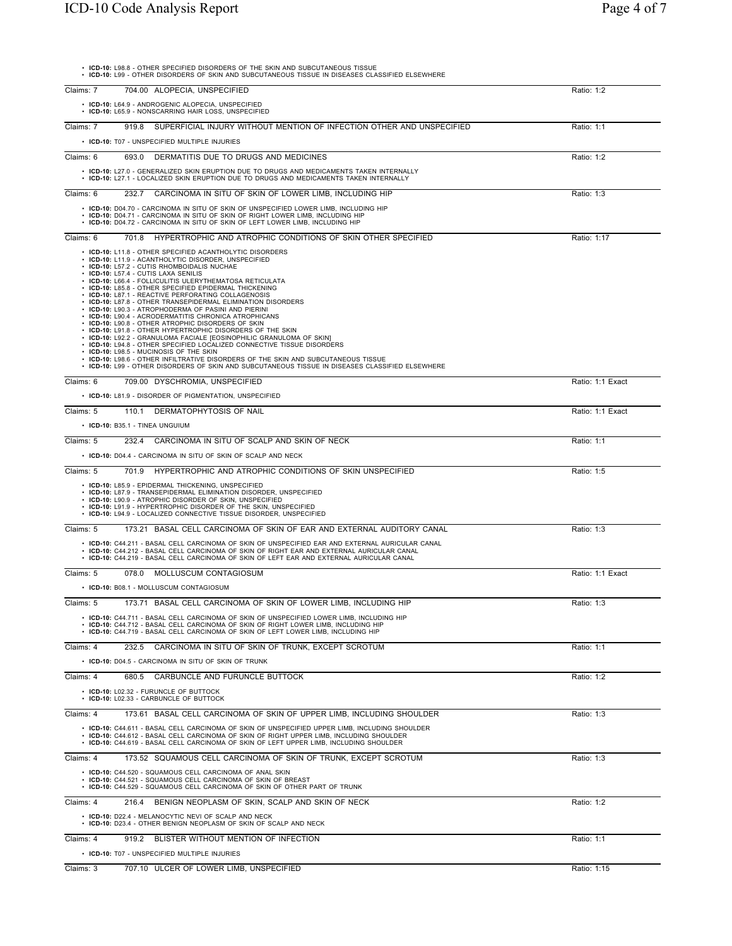| • ICD-10: L98.8 - OTHER SPECIFIED DISORDERS OF THE SKIN AND SUBCUTANEOUS TISSUE<br>• ICD-10: L99 - OTHER DISORDERS OF SKIN AND SUBCUTANEOUS TISSUE IN DISEASES CLASSIFIED ELSEWHERE                                                                                                                                                                                                                                                                                                                                                                                   |                  |
|-----------------------------------------------------------------------------------------------------------------------------------------------------------------------------------------------------------------------------------------------------------------------------------------------------------------------------------------------------------------------------------------------------------------------------------------------------------------------------------------------------------------------------------------------------------------------|------------------|
| 704.00 ALOPECIA, UNSPECIFIED<br>Claims: 7                                                                                                                                                                                                                                                                                                                                                                                                                                                                                                                             | Ratio: 1:2       |
| • ICD-10: L64.9 - ANDROGENIC ALOPECIA, UNSPECIFIED<br>• ICD-10: L65.9 - NONSCARRING HAIR LOSS, UNSPECIFIED                                                                                                                                                                                                                                                                                                                                                                                                                                                            |                  |
| SUPERFICIAL INJURY WITHOUT MENTION OF INFECTION OTHER AND UNSPECIFIED<br>Claims: 7<br>919.8                                                                                                                                                                                                                                                                                                                                                                                                                                                                           | Ratio: 1:1       |
| • ICD-10: T07 - UNSPECIFIED MULTIPLE INJURIES                                                                                                                                                                                                                                                                                                                                                                                                                                                                                                                         |                  |
| Claims: 6<br>DERMATITIS DUE TO DRUGS AND MEDICINES<br>693.0                                                                                                                                                                                                                                                                                                                                                                                                                                                                                                           | Ratio: 1:2       |
| • ICD-10: L27.0 - GENERALIZED SKIN ERUPTION DUE TO DRUGS AND MEDICAMENTS TAKEN INTERNALLY<br>• ICD-10: L27.1 - LOCALIZED SKIN ERUPTION DUE TO DRUGS AND MEDICAMENTS TAKEN INTERNALLY                                                                                                                                                                                                                                                                                                                                                                                  |                  |
| Claims: 6<br>232.7 CARCINOMA IN SITU OF SKIN OF LOWER LIMB. INCLUDING HIP                                                                                                                                                                                                                                                                                                                                                                                                                                                                                             | Ratio: 1:3       |
| • ICD-10: D04.70 - CARCINOMA IN SITU OF SKIN OF UNSPECIFIED LOWER LIMB. INCLUDING HIP<br>• ICD-10: D04.71 - CARCINOMA IN SITU OF SKIN OF RIGHT LOWER LIMB, INCLUDING HIP                                                                                                                                                                                                                                                                                                                                                                                              |                  |
| • ICD-10: D04.72 - CARCINOMA IN SITU OF SKIN OF LEFT LOWER LIMB, INCLUDING HIP                                                                                                                                                                                                                                                                                                                                                                                                                                                                                        |                  |
| HYPERTROPHIC AND ATROPHIC CONDITIONS OF SKIN OTHER SPECIFIED<br>Claims: 6<br>701.8                                                                                                                                                                                                                                                                                                                                                                                                                                                                                    | Ratio: 1:17      |
| • ICD-10: L11.8 - OTHER SPECIFIED ACANTHOLYTIC DISORDERS<br>• ICD-10: L11.9 - ACANTHOLYTIC DISORDER, UNSPECIFIED<br>· ICD-10: L57.2 - CUTIS RHOMBOIDALIS NUCHAE<br>· ICD-10: L57.4 - CUTIS LAXA SENILIS<br>· ICD-10: L66.4 - FOLLICULITIS ULERYTHEMATOSA RETICULATA<br>· ICD-10: L85.8 - OTHER SPECIFIED EPIDERMAL THICKENING<br>· ICD-10: L87.1 - REACTIVE PERFORATING COLLAGENOSIS<br>• ICD-10: L87.8 - OTHER TRANSEPIDERMAL ELIMINATION DISORDERS<br>· ICD-10: L90.3 - ATROPHODERMA OF PASINI AND PIERINI<br>· ICD-10: L90.4 - ACRODERMATITIS CHRONICA ATROPHICANS |                  |
| ICD-10: L90.8 - OTHER ATROPHIC DISORDERS OF SKIN<br>ICD-10: L91.8 - OTHER HYPERTROPHIC DISORDERS OF THE SKIN<br>· ICD-10: L92.2 - GRANULOMA FACIALE [EOSINOPHILIC GRANULOMA OF SKIN]<br>ICD-10: L94.8 - OTHER SPECIFIED LOCALIZED CONNECTIVE TISSUE DISORDERS<br>ICD-10: L98.5 - MUCINOSIS OF THE SKIN                                                                                                                                                                                                                                                                |                  |
| • ICD-10: L98.6 - OTHER INFILTRATIVE DISORDERS OF THE SKIN AND SUBCUTANEOUS TISSUE<br>• ICD-10: L99 - OTHER DISORDERS OF SKIN AND SUBCUTANEOUS TISSUE IN DISEASES CLASSIFIED ELSEWHERE                                                                                                                                                                                                                                                                                                                                                                                |                  |
| Claims: 6<br>709.00 DYSCHROMIA, UNSPECIFIED                                                                                                                                                                                                                                                                                                                                                                                                                                                                                                                           | Ratio: 1:1 Exact |
| • ICD-10: L81.9 - DISORDER OF PIGMENTATION, UNSPECIFIED                                                                                                                                                                                                                                                                                                                                                                                                                                                                                                               |                  |
| Claims: 5<br>110.1 DERMATOPHYTOSIS OF NAIL                                                                                                                                                                                                                                                                                                                                                                                                                                                                                                                            | Ratio: 1:1 Exact |
| • ICD-10: B35.1 - TINEA UNGUIUM                                                                                                                                                                                                                                                                                                                                                                                                                                                                                                                                       |                  |
| Claims: 5<br>232.4 CARCINOMA IN SITU OF SCALP AND SKIN OF NECK<br>• ICD-10: D04.4 - CARCINOMA IN SITU OF SKIN OF SCALP AND NECK                                                                                                                                                                                                                                                                                                                                                                                                                                       | Ratio: 1:1       |
| HYPERTROPHIC AND ATROPHIC CONDITIONS OF SKIN UNSPECIFIED<br>Claims: 5<br>701.9                                                                                                                                                                                                                                                                                                                                                                                                                                                                                        | Ratio: 1:5       |
| • ICD-10: L85.9 - EPIDERMAL THICKENING, UNSPECIFIED<br>• ICD-10: L87.9 - TRANSEPIDERMAL ELIMINATION DISORDER, UNSPECIFIED<br>• ICD-10: L90.9 - ATROPHIC DISORDER OF SKIN, UNSPECIFIED<br>• ICD-10: L91.9 - HYPERTROPHIC DISORDER OF THE SKIN, UNSPECIFIED<br>• ICD-10: L94.9 - LOCALIZED CONNECTIVE TISSUE DISORDER, UNSPECIFIED                                                                                                                                                                                                                                      |                  |
| Claims: 5<br>173.21 BASAL CELL CARCINOMA OF SKIN OF EAR AND EXTERNAL AUDITORY CANAL                                                                                                                                                                                                                                                                                                                                                                                                                                                                                   | Ratio: 1:3       |
| • ICD-10: C44.211 - BASAL CELL CARCINOMA OF SKIN OF UNSPECIFIED EAR AND EXTERNAL AURICULAR CANAL<br>• ICD-10: C44.212 - BASAL CELL CARCINOMA OF SKIN OF RIGHT EAR AND EXTERNAL AURICULAR CANAL<br>· ICD-10: C44.219 - BASAL CELL CARCINOMA OF SKIN OF LEFT EAR AND EXTERNAL AURICULAR CANAL                                                                                                                                                                                                                                                                           |                  |
| Claims: 5<br>MOLLUSCUM CONTAGIOSUM<br>078.0                                                                                                                                                                                                                                                                                                                                                                                                                                                                                                                           | Ratio: 1:1 Exact |
| • ICD-10: B08.1 - MOLLUSCUM CONTAGIOSUM                                                                                                                                                                                                                                                                                                                                                                                                                                                                                                                               |                  |
| 173.71 BASAL CELL CARCINOMA OF SKIN OF LOWER LIMB, INCLUDING HIP<br>Claims: 5                                                                                                                                                                                                                                                                                                                                                                                                                                                                                         | Ratio: 1:3       |
| • ICD-10: C44.711 - BASAL CELL CARCINOMA OF SKIN OF UNSPECIFIED LOWER LIMB, INCLUDING HIP<br>• ICD-10: C44.712 - BASAL CELL CARCINOMA OF SKIN OF RIGHT LOWER LIMB, INCLUDING HIP<br>• ICD-10: C44.719 - BASAL CELL CARCINOMA OF SKIN OF LEFT LOWER LIMB, INCLUDING HIP                                                                                                                                                                                                                                                                                                |                  |
| 232.5 CARCINOMA IN SITU OF SKIN OF TRUNK, EXCEPT SCROTUM<br>Claims: 4                                                                                                                                                                                                                                                                                                                                                                                                                                                                                                 | Ratio: 1:1       |
| • ICD-10: D04.5 - CARCINOMA IN SITU OF SKIN OF TRUNK                                                                                                                                                                                                                                                                                                                                                                                                                                                                                                                  |                  |
| Claims: 4<br>680.5<br>CARBUNCLE AND FURUNCLE BUTTOCK                                                                                                                                                                                                                                                                                                                                                                                                                                                                                                                  | Ratio: 1:2       |
| • ICD-10: L02.32 - FURUNCLE OF BUTTOCK<br>• ICD-10: L02.33 - CARBUNCLE OF BUTTOCK                                                                                                                                                                                                                                                                                                                                                                                                                                                                                     |                  |
| Claims: 4<br>173.61 BASAL CELL CARCINOMA OF SKIN OF UPPER LIMB, INCLUDING SHOULDER                                                                                                                                                                                                                                                                                                                                                                                                                                                                                    | Ratio: 1:3       |
| • ICD-10: C44.611 - BASAL CELL CARCINOMA OF SKIN OF UNSPECIFIED UPPER LIMB, INCLUDING SHOULDER<br>· ICD-10: C44.612 - BASAL CELL CARCINOMA OF SKIN OF RIGHT UPPER LIMB, INCLUDING SHOULDER<br>• ICD-10: C44.619 - BASAL CELL CARCINOMA OF SKIN OF LEFT UPPER LIMB. INCLUDING SHOULDER                                                                                                                                                                                                                                                                                 |                  |
| 173.52 SQUAMOUS CELL CARCINOMA OF SKIN OF TRUNK, EXCEPT SCROTUM<br>Claims: 4                                                                                                                                                                                                                                                                                                                                                                                                                                                                                          | Ratio: 1:3       |
| • ICD-10: C44.520 - SQUAMOUS CELL CARCINOMA OF ANAL SKIN<br>• ICD-10: C44.521 - SQUAMOUS CELL CARCINOMA OF SKIN OF BREAST<br>• ICD-10: C44.529 - SQUAMOUS CELL CARCINOMA OF SKIN OF OTHER PART OF TRUNK                                                                                                                                                                                                                                                                                                                                                               |                  |
| 216.4 BENIGN NEOPLASM OF SKIN, SCALP AND SKIN OF NECK<br>Claims: 4                                                                                                                                                                                                                                                                                                                                                                                                                                                                                                    | Ratio: 1:2       |
| • ICD-10: D22.4 - MELANOCYTIC NEVI OF SCALP AND NECK<br>• ICD-10: D23.4 - OTHER BENIGN NEOPLASM OF SKIN OF SCALP AND NECK                                                                                                                                                                                                                                                                                                                                                                                                                                             |                  |
| 919.2 BLISTER WITHOUT MENTION OF INFECTION<br>Claims: 4                                                                                                                                                                                                                                                                                                                                                                                                                                                                                                               | Ratio: 1:1       |
| • ICD-10: T07 - UNSPECIFIED MULTIPLE INJURIES                                                                                                                                                                                                                                                                                                                                                                                                                                                                                                                         |                  |
| 707.10 ULCER OF LOWER LIMB, UNSPECIFIED<br>Claims: 3                                                                                                                                                                                                                                                                                                                                                                                                                                                                                                                  | Ratio: 1:15      |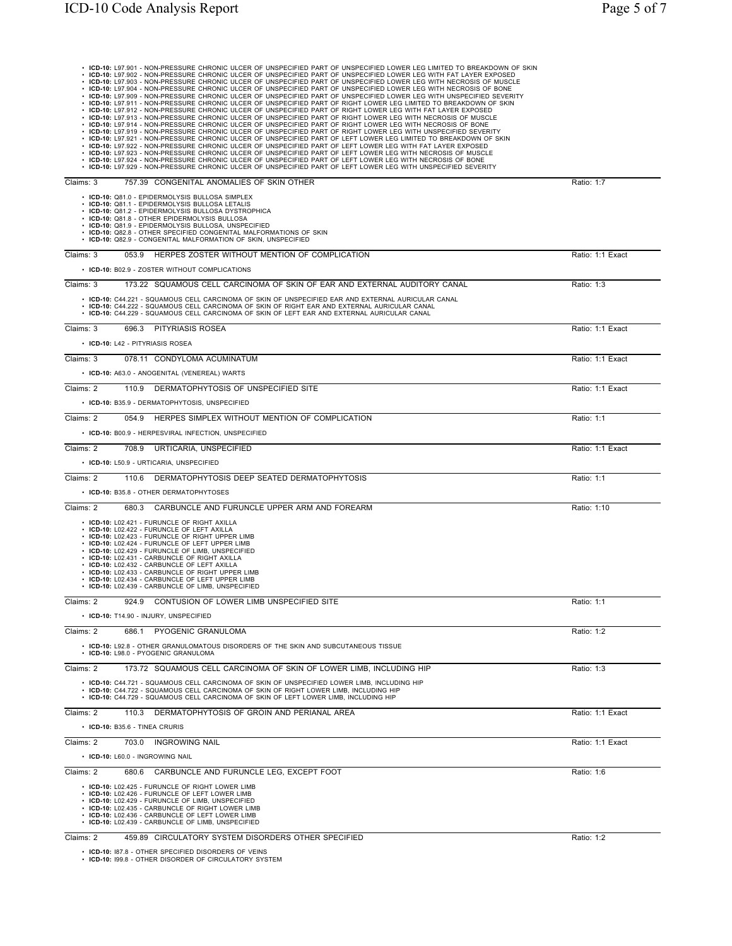• ICD-10: L97.901 - NON-PRESSURE CHRONIC ULCER OF UNSPECIFIED PART OF UNSPECIFIED LOWER LEG LIMITED TO BREAKDOWN OF SKIN<br>• ICD-10: L97.902 - NON-PRESSURE CHRONIC ULCER OF UNSPECIFIED PART OF UNSPECIFIED LOWER LEG WITH FAT Claims: 3 757.39 CONGENITAL ANOMALIES OF SKIN OTHER RATIO: 1:7 • **ICD-10:** Q81.0 - EPIDERMOLYSIS BULLOSA SIMPLEX<br>• **ICD-10:** Q81.1 - EPIDERMOLYSIS BULLOSA LETALIS<br>• **ICD-10:** Q81.2 - EPIDERMOLYSIS BULLOSA DYSTROPHICA<br>• **ICD-10:** Q81.8 - OTHER EPIDERMOLYSIS BULLOSA • **ICD-10:** Q81.9 - EPIDERMOLYSIS BULLOSA, UNSPECIFIED • **ICD-10:** Q82.8 - OTHER SPECIFIED CONGENITAL MALFORMATIONS OF SKIN • **ICD-10:** Q82.9 - CONGENITAL MALFORMATION OF SKIN, UNSPECIFIED Claims: 3 053.9 HERPES ZOSTER WITHOUT MENTION OF COMPLICATION **Ratio: 1:1 Exact** • **ICD-10:** B02.9 - ZOSTER WITHOUT COMPLICATIONS Claims: 3 173.22 SQUAMOUS CELL CARCINOMA OF SKIN OF EAR AND EXTERNAL AUDITORY CANAL RATIO: 1:3 • ICD-10: C44.221 - SQUAMOUS CELL CARCINOMA OF SKIN OF UNSPECIFIED EAR AND EXTERNAL AURICULAR CANAL<br>• ICD-10: C44.222 - SQUAMOUS CELL CARCINOMA OF SKIN OF RIGHT EAR AND EXTERNAL AURICULAR CANAL<br>• ICD-10: C44.229 - SQUAMOUS Claims: 3 696.3 PITYRIASIS ROSEA Ratio: 1:1 Exact • **ICD-10:** L42 - PITYRIASIS ROSEA Claims: 3 078.11 CONDYLOMA ACUMINATUM Ratio: 1:1 Exact • **ICD-10:** A63.0 - ANOGENITAL (VENEREAL) WARTS Claims: 2 110.9 DERMATOPHYTOSIS OF UNSPECIFIED SITE Ratio: 1:1 Exact • **ICD-10:** B35.9 - DERMATOPHYTOSIS, UNSPECIFIED Claims: 2 054.9 HERPES SIMPLEX WITHOUT MENTION OF COMPLICATION Ratio: 1:1 • **ICD-10:** B00.9 - HERPESVIRAL INFECTION, UNSPECIFIED Claims: 2 708.9 URTICARIA, UNSPECIFIED **Ratio: 1:1 Exact** • **ICD-10:** L50.9 - URTICARIA, UNSPECIFIED Claims: 2 110.6 DERMATOPHYTOSIS DEEP SEATED DERMATOPHYTOSIS **Ratio: 1:1** Ratio: 1:1 • **ICD-10:** B35.8 - OTHER DERMATOPHYTOSES Claims: 2 680.3 CARBUNCLE AND FURUNCLE UPPER ARM AND FOREARM **Ratio: 1:10** Ratio: 1:10 • ICD-10: L02-421 - FURUNCLE OF RIGHT AXILLA<br>• ICD-10: L02-422 - FURUNCLE OF LEFT AXILLA<br>• ICD-10: L02-424 - FURUNCLE OF RIGHT UPPER LIMB<br>• ICD-10: L02-424 - FURUNCLE OF LIMB, UNSPECIFIED<br>• ICD-10: L02-429 - FURUNCLE OF L Claims: 2 924.9 CONTUSION OF LOWER LIMB UNSPECIFIED SITE Ratio: 1:1 • **ICD-10:** T14.90 - INJURY, UNSPECIFIED Claims: 2 686.1 PYOGENIC GRANULOMA Ratio: 1:2 • **ICD-10:** L92.8 - OTHER GRANULOMATOUS DISORDERS OF THE SKIN AND SUBCUTANEOUS TISSUE • **ICD-10:** L98.0 - PYOGENIC GRANULOMA Claims: 2 173.72 SQUAMOUS CELL CARCINOMA OF SKIN OF LOWER LIMB, INCLUDING HIP RAtio: 1:3 • ICD-10: C44.721 - SQUAMOUS CELL CARCINOMA OF SKIN OF UNSPECIFIED LOWER LIMB, INCLUDING HIP<br>• ICD-10: C44.722 - SQUAMOUS CELL CARCINOMA OF SKIN OF RIGHT LOWER LIMB, INCLUDING HIP<br>• ICD-10: C44.729 - SQUAMOUS CELL CARCINOM Claims: 2 110.3 DERMATOPHYTOSIS OF GROIN AND PERIANAL AREA RATIO: 1:1 Exact Ratio: 1:1 Exact • **ICD-10:** B35.6 - TINEA CRURIS Claims: 2 703.0 INGROWING NAIL Ratio: 1:1 Exact • **ICD-10:** L60.0 - INGROWING NAIL Claims: 2 680.6 CARBUNCLE AND FURUNCLE LEG, EXCEPT FOOT **CLAIMS** 2 680.6 CARBUNCLE AND FURUNCLE LEG, EXCEPT FOOT • **ICD-10:** L02.425 - FURUNCLE OF RIGHT LOWER LIMB • **ICD-10:** L02.426 - FURUNCLE OF LEFT LOWER LIMB • **ICD-10:** L02.429 - FURUNCLE OF LIMB, UNSPECIFIED • **ICD-10:** L02.435 - CARBUNCLE OF RIGHT LOWER LIMB • **ICD-10:** L02.436 - CARBUNCLE OF LEFT LOWER LIMB • **ICD-10:** L02.439 - CARBUNCLE OF LIMB, UNSPECIFIED Claims: 2 459.89 CIRCULATORY SYSTEM DISORDERS OTHER SPECIFIED Ratio: 1:2 • **ICD-10:** I87.8 - OTHER SPECIFIED DISORDERS OF VEINS

• **ICD-10:** I99.8 - OTHER DISORDER OF CIRCULATORY SYSTEM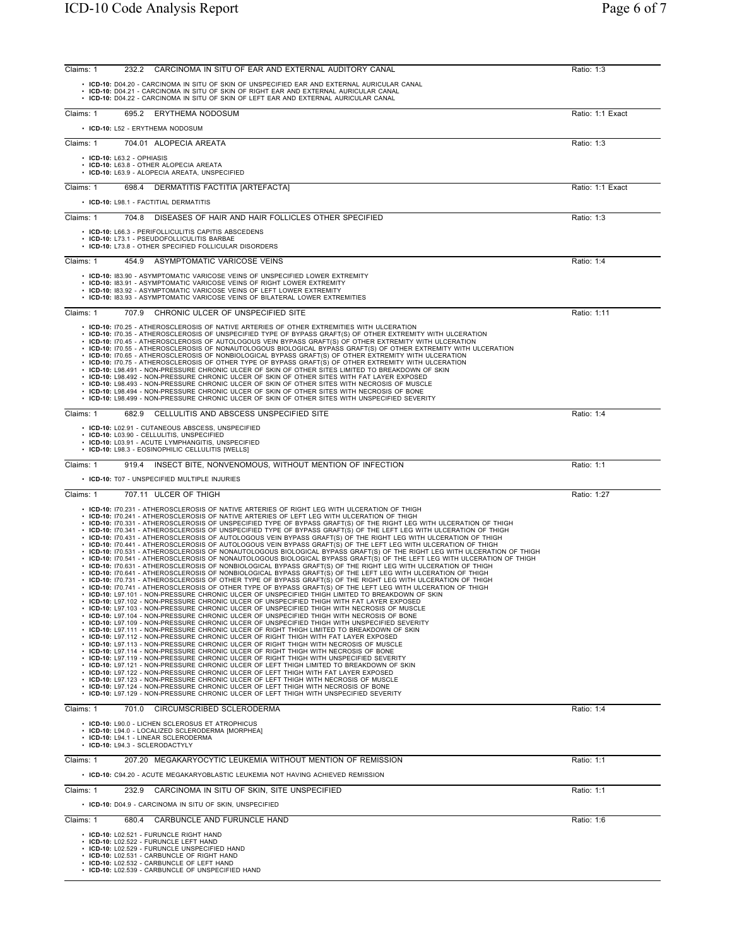| Claims: 1<br>232.2<br>CARCINOMA IN SITU OF EAR AND EXTERNAL AUDITORY CANAL                                                                                                                                                                                                                                                                                                                                                                                                                                                                                                                                                                                                                                                                                                                                                                                                                                                                                                                                                                                                                                                                                                                                                                                                                                                                                                                                                                                                                                                                                                                                                                                                                                                                                                                                                                                                                                                                                                                                                                                                                                                                                                                                                                                                                                                                                                                                                                                                                                                                                                                                                                                                                                                                                                                                                                          | Ratio: 1:3       |
|-----------------------------------------------------------------------------------------------------------------------------------------------------------------------------------------------------------------------------------------------------------------------------------------------------------------------------------------------------------------------------------------------------------------------------------------------------------------------------------------------------------------------------------------------------------------------------------------------------------------------------------------------------------------------------------------------------------------------------------------------------------------------------------------------------------------------------------------------------------------------------------------------------------------------------------------------------------------------------------------------------------------------------------------------------------------------------------------------------------------------------------------------------------------------------------------------------------------------------------------------------------------------------------------------------------------------------------------------------------------------------------------------------------------------------------------------------------------------------------------------------------------------------------------------------------------------------------------------------------------------------------------------------------------------------------------------------------------------------------------------------------------------------------------------------------------------------------------------------------------------------------------------------------------------------------------------------------------------------------------------------------------------------------------------------------------------------------------------------------------------------------------------------------------------------------------------------------------------------------------------------------------------------------------------------------------------------------------------------------------------------------------------------------------------------------------------------------------------------------------------------------------------------------------------------------------------------------------------------------------------------------------------------------------------------------------------------------------------------------------------------------------------------------------------------------------------------------------------------|------------------|
| . ICD-10: D04.20 - CARCINOMA IN SITU OF SKIN OF UNSPECIFIED EAR AND EXTERNAL AURICULAR CANAL<br>. ICD-10: D04.21 - CARCINOMA IN SITU OF SKIN OF RIGHT EAR AND EXTERNAL AURICULAR CANAL<br>. ICD-10: D04.22 - CARCINOMA IN SITU OF SKIN OF LEFT EAR AND EXTERNAL AURICULAR CANAL                                                                                                                                                                                                                                                                                                                                                                                                                                                                                                                                                                                                                                                                                                                                                                                                                                                                                                                                                                                                                                                                                                                                                                                                                                                                                                                                                                                                                                                                                                                                                                                                                                                                                                                                                                                                                                                                                                                                                                                                                                                                                                                                                                                                                                                                                                                                                                                                                                                                                                                                                                     |                  |
| 695.2 ERYTHEMA NODOSUM<br>Claims: 1                                                                                                                                                                                                                                                                                                                                                                                                                                                                                                                                                                                                                                                                                                                                                                                                                                                                                                                                                                                                                                                                                                                                                                                                                                                                                                                                                                                                                                                                                                                                                                                                                                                                                                                                                                                                                                                                                                                                                                                                                                                                                                                                                                                                                                                                                                                                                                                                                                                                                                                                                                                                                                                                                                                                                                                                                 | Ratio: 1:1 Exact |
| • ICD-10: L52 - ERYTHEMA NODOSUM                                                                                                                                                                                                                                                                                                                                                                                                                                                                                                                                                                                                                                                                                                                                                                                                                                                                                                                                                                                                                                                                                                                                                                                                                                                                                                                                                                                                                                                                                                                                                                                                                                                                                                                                                                                                                                                                                                                                                                                                                                                                                                                                                                                                                                                                                                                                                                                                                                                                                                                                                                                                                                                                                                                                                                                                                    |                  |
| Claims: 1<br>704.01 ALOPECIA AREATA                                                                                                                                                                                                                                                                                                                                                                                                                                                                                                                                                                                                                                                                                                                                                                                                                                                                                                                                                                                                                                                                                                                                                                                                                                                                                                                                                                                                                                                                                                                                                                                                                                                                                                                                                                                                                                                                                                                                                                                                                                                                                                                                                                                                                                                                                                                                                                                                                                                                                                                                                                                                                                                                                                                                                                                                                 | Ratio: 1:3       |
| $\cdot$ ICD-10: L63.2 - OPHIASIS<br>• ICD-10: L63.8 - OTHER ALOPECIA AREATA<br>• ICD-10: L63.9 - ALOPECIA AREATA, UNSPECIFIED                                                                                                                                                                                                                                                                                                                                                                                                                                                                                                                                                                                                                                                                                                                                                                                                                                                                                                                                                                                                                                                                                                                                                                                                                                                                                                                                                                                                                                                                                                                                                                                                                                                                                                                                                                                                                                                                                                                                                                                                                                                                                                                                                                                                                                                                                                                                                                                                                                                                                                                                                                                                                                                                                                                       |                  |
| Claims: 1<br>698.4 DERMATITIS FACTITIA [ARTEFACTA]                                                                                                                                                                                                                                                                                                                                                                                                                                                                                                                                                                                                                                                                                                                                                                                                                                                                                                                                                                                                                                                                                                                                                                                                                                                                                                                                                                                                                                                                                                                                                                                                                                                                                                                                                                                                                                                                                                                                                                                                                                                                                                                                                                                                                                                                                                                                                                                                                                                                                                                                                                                                                                                                                                                                                                                                  | Ratio: 1:1 Exact |
| • ICD-10: L98.1 - FACTITIAL DERMATITIS                                                                                                                                                                                                                                                                                                                                                                                                                                                                                                                                                                                                                                                                                                                                                                                                                                                                                                                                                                                                                                                                                                                                                                                                                                                                                                                                                                                                                                                                                                                                                                                                                                                                                                                                                                                                                                                                                                                                                                                                                                                                                                                                                                                                                                                                                                                                                                                                                                                                                                                                                                                                                                                                                                                                                                                                              |                  |
| Claims: 1<br>704.8 DISEASES OF HAIR AND HAIR FOLLICLES OTHER SPECIFIED                                                                                                                                                                                                                                                                                                                                                                                                                                                                                                                                                                                                                                                                                                                                                                                                                                                                                                                                                                                                                                                                                                                                                                                                                                                                                                                                                                                                                                                                                                                                                                                                                                                                                                                                                                                                                                                                                                                                                                                                                                                                                                                                                                                                                                                                                                                                                                                                                                                                                                                                                                                                                                                                                                                                                                              | Ratio: 1:3       |
| • ICD-10: L66.3 - PERIFOLLICULITIS CAPITIS ABSCEDENS<br>• ICD-10: L73.1 - PSEUDOFOLLICULITIS BARBAE<br>• ICD-10: L73.8 - OTHER SPECIFIED FOLLICULAR DISORDERS                                                                                                                                                                                                                                                                                                                                                                                                                                                                                                                                                                                                                                                                                                                                                                                                                                                                                                                                                                                                                                                                                                                                                                                                                                                                                                                                                                                                                                                                                                                                                                                                                                                                                                                                                                                                                                                                                                                                                                                                                                                                                                                                                                                                                                                                                                                                                                                                                                                                                                                                                                                                                                                                                       |                  |
| Claims: 1<br>454.9 ASYMPTOMATIC VARICOSE VEINS                                                                                                                                                                                                                                                                                                                                                                                                                                                                                                                                                                                                                                                                                                                                                                                                                                                                                                                                                                                                                                                                                                                                                                                                                                                                                                                                                                                                                                                                                                                                                                                                                                                                                                                                                                                                                                                                                                                                                                                                                                                                                                                                                                                                                                                                                                                                                                                                                                                                                                                                                                                                                                                                                                                                                                                                      | Ratio: 1:4       |
| • ICD-10: 183.90 - ASYMPTOMATIC VARICOSE VEINS OF UNSPECIFIED LOWER EXTREMITY<br>• ICD-10: 183.91 - ASYMPTOMATIC VARICOSE VEINS OF RIGHT LOWER EXTREMITY<br>ICD-10: 183.92 - ASYMPTOMATIC VARICOSE VEINS OF LEFT LOWER EXTREMITY<br>• ICD-10: 183.93 - ASYMPTOMATIC VARICOSE VEINS OF BILATERAL LOWER EXTREMITIES                                                                                                                                                                                                                                                                                                                                                                                                                                                                                                                                                                                                                                                                                                                                                                                                                                                                                                                                                                                                                                                                                                                                                                                                                                                                                                                                                                                                                                                                                                                                                                                                                                                                                                                                                                                                                                                                                                                                                                                                                                                                                                                                                                                                                                                                                                                                                                                                                                                                                                                                   |                  |
| 707.9 CHRONIC ULCER OF UNSPECIFIED SITE<br>Claims: 1                                                                                                                                                                                                                                                                                                                                                                                                                                                                                                                                                                                                                                                                                                                                                                                                                                                                                                                                                                                                                                                                                                                                                                                                                                                                                                                                                                                                                                                                                                                                                                                                                                                                                                                                                                                                                                                                                                                                                                                                                                                                                                                                                                                                                                                                                                                                                                                                                                                                                                                                                                                                                                                                                                                                                                                                | Ratio: 1:11      |
| • ICD-10: I70.25 - ATHEROSCLEROSIS OF NATIVE ARTERIES OF OTHER EXTREMITIES WITH ULCERATION<br>· ICD-10: 170.35 - ATHEROSCLEROSIS OF UNSPECIFIED TYPE OF BYPASS GRAFT(S) OF OTHER EXTREMITY WITH ULCERATION<br>· ICD-10: I70.45 - ATHEROSCLEROSIS OF AUTOLOGOUS VEIN BYPASS GRAFT(S) OF OTHER EXTREMITY WITH ULCERATION<br>ICD-10: I70.55 - ATHEROSCLEROSIS OF NONAUTOLOGOUS BIOLOGICAL BYPASS GRAFT(S) OF OTHER EXTREMITY WITH ULCERATION<br>ICD-10: I70.65 - ATHEROSCLEROSIS OF NONBIOLOGICAL BYPASS GRAFT(S) OF OTHER EXTREMITY WITH ULCERATION<br>ICD-10: 170.75 - ATHEROSCLEROSIS OF OTHER TYPE OF BYPASS GRAFT(S) OF OTHER EXTREMITY WITH ULCERATION<br>ICD-10: L98.491 - NON-PRESSURE CHRONIC ULCER OF SKIN OF OTHER SITES LIMITED TO BREAKDOWN OF SKIN<br>ICD-10: L98.492 - NON-PRESSURE CHRONIC ULCER OF SKIN OF OTHER SITES WITH FAT LAYER EXPOSED<br>ICD-10: L98.493 - NON-PRESSURE CHRONIC ULCER OF SKIN OF OTHER SITES WITH NECROSIS OF MUSCLE<br>ICD-10: L98.494 - NON-PRESSURE CHRONIC ULCER OF SKIN OF OTHER SITES WITH NECROSIS OF BONE<br>. ICD-10: L98.499 - NON-PRESSURE CHRONIC ULCER OF SKIN OF OTHER SITES WITH UNSPECIFIED SEVERITY                                                                                                                                                                                                                                                                                                                                                                                                                                                                                                                                                                                                                                                                                                                                                                                                                                                                                                                                                                                                                                                                                                                                                                                                                                                                                                                                                                                                                                                                                                                                                                                                                                                                                          |                  |
| Claims: 1<br>682.9 CELLULITIS AND ABSCESS UNSPECIFIED SITE                                                                                                                                                                                                                                                                                                                                                                                                                                                                                                                                                                                                                                                                                                                                                                                                                                                                                                                                                                                                                                                                                                                                                                                                                                                                                                                                                                                                                                                                                                                                                                                                                                                                                                                                                                                                                                                                                                                                                                                                                                                                                                                                                                                                                                                                                                                                                                                                                                                                                                                                                                                                                                                                                                                                                                                          | Ratio: 1:4       |
| • ICD-10: L02.91 - CUTANEOUS ABSCESS, UNSPECIFIED<br>· ICD-10: L03.90 - CELLULITIS, UNSPECIFIED<br>• ICD-10: L03.91 - ACUTE LYMPHANGITIS, UNSPECIFIED<br>• ICD-10: L98.3 - EOSINOPHILIC CELLULITIS [WELLS]                                                                                                                                                                                                                                                                                                                                                                                                                                                                                                                                                                                                                                                                                                                                                                                                                                                                                                                                                                                                                                                                                                                                                                                                                                                                                                                                                                                                                                                                                                                                                                                                                                                                                                                                                                                                                                                                                                                                                                                                                                                                                                                                                                                                                                                                                                                                                                                                                                                                                                                                                                                                                                          |                  |
| 919.4 INSECT BITE, NONVENOMOUS, WITHOUT MENTION OF INFECTION<br>Claims: 1                                                                                                                                                                                                                                                                                                                                                                                                                                                                                                                                                                                                                                                                                                                                                                                                                                                                                                                                                                                                                                                                                                                                                                                                                                                                                                                                                                                                                                                                                                                                                                                                                                                                                                                                                                                                                                                                                                                                                                                                                                                                                                                                                                                                                                                                                                                                                                                                                                                                                                                                                                                                                                                                                                                                                                           | Ratio: 1:1       |
| • ICD-10: T07 - UNSPECIFIED MULTIPLE INJURIES                                                                                                                                                                                                                                                                                                                                                                                                                                                                                                                                                                                                                                                                                                                                                                                                                                                                                                                                                                                                                                                                                                                                                                                                                                                                                                                                                                                                                                                                                                                                                                                                                                                                                                                                                                                                                                                                                                                                                                                                                                                                                                                                                                                                                                                                                                                                                                                                                                                                                                                                                                                                                                                                                                                                                                                                       |                  |
| Claims: 1<br>707.11 ULCER OF THIGH                                                                                                                                                                                                                                                                                                                                                                                                                                                                                                                                                                                                                                                                                                                                                                                                                                                                                                                                                                                                                                                                                                                                                                                                                                                                                                                                                                                                                                                                                                                                                                                                                                                                                                                                                                                                                                                                                                                                                                                                                                                                                                                                                                                                                                                                                                                                                                                                                                                                                                                                                                                                                                                                                                                                                                                                                  | Ratio: 1:27      |
| • ICD-10: 170.231 - ATHEROSCLEROSIS OF NATIVE ARTERIES OF RIGHT LEG WITH ULCERATION OF THIGH<br>• ICD-10: I70.241 - ATHEROSCLEROSIS OF NATIVE ARTERIES OF LEFT LEG WITH ULCERATION OF THIGH<br>. ICD-10: 170.331 - ATHEROSCLEROSIS OF UNSPECIFIED TYPE OF BYPASS GRAFT(S) OF THE RIGHT LEG WITH ULCERATION OF THIGH<br>• ICD-10: I70.341 - ATHEROSCLEROSIS OF UNSPECIFIED TYPE OF BYPASS GRAFT(S) OF THE LEFT LEG WITH ULCERATION OF THIGH<br>∙ ICD-10: I70.431 - ATHEROSCLEROSIS OF AUTOLOGOUS VEIN BYPASS GRAFT(S) ÒF́ THE RIGHT LEG WITH ULCERATION OF THIGH<br>• ICD-10: 170.441 - ATHEROSCLEROSIS OF AUTOLOGOUS VEIN BYPASS GRAFT(S) OF THE LEFT LEG WITH ULCERATION OF THIGH<br>· ICD-10: I70.531 - ATHEROSCLEROSIS OF NONAUTOLOGOUS BIOLOGICAL BYPASS GRAFT(S) OF THE RIGHT LEG WITH ULCERATION OF THIGH<br>· ICD-10: I70.541 - ATHEROSCLEROSIS OF NONAUTOLOGOUS BIOLOGICAL BYPASS GRAFT(S) OF THE LEFT LEG WITH ULCERATION OF THIGH<br>· ICD-10: 170.631 - ATHEROSCLEROSIS OF NONBIOLOGICAL BYPASS GRAFT(S) OF THE RIGHT LEG WITH ULCERATION OF THIGH<br>• ICD-10: 170.641 - ATHEROSCLEROSIS OF NONBIOLOGICAL BYPASS GRAFT(S) OF THE LEFT LEG WITH ULCERATION OF THIGH<br>• ICD-10: 170.731 - ATHEROSCLEROSIS OF OTHER TYPE OF BYPASS GRAFT(S) OF THE RIGHT LEG WITH ULCERATION OF THIGH<br>$\cdot$ ICD-10: 170.741 - ATHEROSCLEROSIS OF OTHER TYPE OF BYPASS GRAFT(S) OF THE LEFT LEG WITH ULCERATION OF THIGH<br>· ICD-10: L97.101 - NON-PRESSURE CHRONIC ULCER OF UNSPECIFIED THIGH LIMITED TO BREAKDOWN OF SKIN<br>• ICD-10: L97.102 - NON-PRESSURE CHRONIC ULCER OF UNSPECIFIED THIGH WITH FAT LAYER EXPOSED<br>· ICD-10: L97.103 - NON-PRESSURE CHRONIC ULCER OF UNSPECIFIED THIGH WITH NECROSIS OF MUSCLE<br>. ICD-10: L97.104 - NON-PRESSURE CHRONIC ULCER OF UNSPECIFIED THIGH WITH NECROSIS OF BONE<br>· ICD-10: L97.109 - NON-PRESSURE CHRONIC ULCER OF UNSPECIFIED THIGH WITH UNSPECIFIED SEVERITY<br>• ICD-10: L97.111 - NON-PRESSURE CHRONIC ULCER OF RIGHT THIGH LIMITED TO BREAKDOWN OF SKIN<br>• ICD-10: L97.112 - NON-PRESSURE CHRONIC ULCER OF RIGHT THIGH WITH FAT LAYER EXPOSED<br>• ICD-10: L97.113 - NON-PRESSURE CHRONIC ULCER OF RIGHT THIGH WITH NECROSIS OF MUSCLE<br>• ICD-10: L97.114 - NON-PRESSURE CHRONIC ULCER OF RIGHT THIGH WITH NECROSIS OF BONE<br>• ICD-10: L97.119 - NON-PRESSURE CHRONIC ULCER OF RIGHT THIGH WITH UNSPECIFIED SEVERITY<br>• ICD-10: L97.121 - NON-PRESSURE CHRONIC ULCER OF LEFT THIGH LIMITED TO BREAKDOWN OF SKIN<br>• ICD-10: L97.122 - NON-PRESSURE CHRONIC ULCER OF LEFT THIGH WITH FAT LAYER EXPOSED<br>• ICD-10: L97.123 - NON-PRESSURE CHRONIC ULCER OF LEFT THIGH WITH NECROSIS OF MUSCLE<br>• ICD-10: L97.124 - NON-PRESSURE CHRONIC ULCER OF LEFT THIGH WITH NECROSIS OF BONE<br>. ICD-10: L97.129 - NON-PRESSURE CHRONIC ULCER OF LEFT THIGH WITH UNSPECIFIED SEVERITY |                  |
| Claims: 1<br>701.0 CIRCUMSCRIBED SCLERODERMA                                                                                                                                                                                                                                                                                                                                                                                                                                                                                                                                                                                                                                                                                                                                                                                                                                                                                                                                                                                                                                                                                                                                                                                                                                                                                                                                                                                                                                                                                                                                                                                                                                                                                                                                                                                                                                                                                                                                                                                                                                                                                                                                                                                                                                                                                                                                                                                                                                                                                                                                                                                                                                                                                                                                                                                                        | Ratio: 1:4       |
| • ICD-10: L90.0 - LICHEN SCLEROSUS ET ATROPHICUS<br>• ICD-10: L94.0 - LOCALIZED SCLERODERMA [MORPHEA]<br>· ICD-10: L94.1 - LINEAR SCLERODERMA<br>· ICD-10: L94.3 - SCLERODACTYLY                                                                                                                                                                                                                                                                                                                                                                                                                                                                                                                                                                                                                                                                                                                                                                                                                                                                                                                                                                                                                                                                                                                                                                                                                                                                                                                                                                                                                                                                                                                                                                                                                                                                                                                                                                                                                                                                                                                                                                                                                                                                                                                                                                                                                                                                                                                                                                                                                                                                                                                                                                                                                                                                    |                  |
| Claims: 1<br>207.20 MEGAKARYOCYTIC LEUKEMIA WITHOUT MENTION OF REMISSION                                                                                                                                                                                                                                                                                                                                                                                                                                                                                                                                                                                                                                                                                                                                                                                                                                                                                                                                                                                                                                                                                                                                                                                                                                                                                                                                                                                                                                                                                                                                                                                                                                                                                                                                                                                                                                                                                                                                                                                                                                                                                                                                                                                                                                                                                                                                                                                                                                                                                                                                                                                                                                                                                                                                                                            | Ratio: 1:1       |
| • ICD-10: C94.20 - ACUTE MEGAKARYOBLASTIC LEUKEMIA NOT HAVING ACHIEVED REMISSION                                                                                                                                                                                                                                                                                                                                                                                                                                                                                                                                                                                                                                                                                                                                                                                                                                                                                                                                                                                                                                                                                                                                                                                                                                                                                                                                                                                                                                                                                                                                                                                                                                                                                                                                                                                                                                                                                                                                                                                                                                                                                                                                                                                                                                                                                                                                                                                                                                                                                                                                                                                                                                                                                                                                                                    |                  |
| Claims: 1<br>232.9<br>CARCINOMA IN SITU OF SKIN, SITE UNSPECIFIED                                                                                                                                                                                                                                                                                                                                                                                                                                                                                                                                                                                                                                                                                                                                                                                                                                                                                                                                                                                                                                                                                                                                                                                                                                                                                                                                                                                                                                                                                                                                                                                                                                                                                                                                                                                                                                                                                                                                                                                                                                                                                                                                                                                                                                                                                                                                                                                                                                                                                                                                                                                                                                                                                                                                                                                   | Ratio: 1:1       |
| • ICD-10: D04.9 - CARCINOMA IN SITU OF SKIN, UNSPECIFIED                                                                                                                                                                                                                                                                                                                                                                                                                                                                                                                                                                                                                                                                                                                                                                                                                                                                                                                                                                                                                                                                                                                                                                                                                                                                                                                                                                                                                                                                                                                                                                                                                                                                                                                                                                                                                                                                                                                                                                                                                                                                                                                                                                                                                                                                                                                                                                                                                                                                                                                                                                                                                                                                                                                                                                                            |                  |
| Claims: 1<br>CARBUNCLE AND FURUNCLE HAND<br>680.4                                                                                                                                                                                                                                                                                                                                                                                                                                                                                                                                                                                                                                                                                                                                                                                                                                                                                                                                                                                                                                                                                                                                                                                                                                                                                                                                                                                                                                                                                                                                                                                                                                                                                                                                                                                                                                                                                                                                                                                                                                                                                                                                                                                                                                                                                                                                                                                                                                                                                                                                                                                                                                                                                                                                                                                                   | Ratio: 1:6       |
| • ICD-10: L02.521 - FURUNCLE RIGHT HAND<br>• ICD-10: L02.522 - FURUNCLE LEFT HAND<br>• ICD-10: L02.529 - FURUNCLE UNSPECIFIED HAND<br>• ICD-10: L02.531 - CARBUNCLE OF RIGHT HAND<br>• ICD-10: L02.532 - CARBUNCLE OF LEFT HAND<br>• ICD-10: L02.539 - CARBUNCLE OF UNSPECIFIED HAND                                                                                                                                                                                                                                                                                                                                                                                                                                                                                                                                                                                                                                                                                                                                                                                                                                                                                                                                                                                                                                                                                                                                                                                                                                                                                                                                                                                                                                                                                                                                                                                                                                                                                                                                                                                                                                                                                                                                                                                                                                                                                                                                                                                                                                                                                                                                                                                                                                                                                                                                                                |                  |